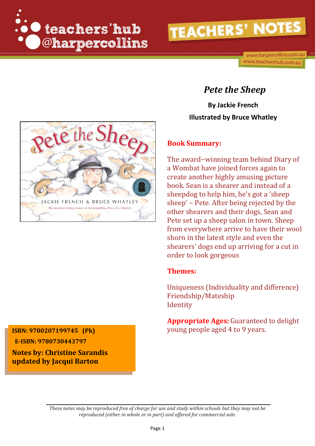



### *Pete the Sheep*

**By Jackie French Illustrated by Bruce Whatley**

#### **Book Summary:**

The award−winning team behind Diary of a Wombat have joined forces again to create another highly amusing picture book. Sean is a shearer and instead of a sheepdog to help him, he's got a 'sheep sheep' – Pete. After being rejected by the other shearers and their dogs, Sean and Pete set up a sheep salon in town. Sheep from everywhere arrive to have their wool shorn in the latest style and even the shearers' dogs end up arriving for a cut in order to look gorgeous

#### **Themes:**

Uniqueness (Individuality and difference) Friendship/Mateship **Identity** 

**Appropriate Ages:** Guaranteed to delight **ISBN: 9780207199745 (Pk)** young people aged 4 to 9 years.

 **E-ISBN: 9780730443797** 

**Notes by: Christine Sarandis updated by Jacqui Barton**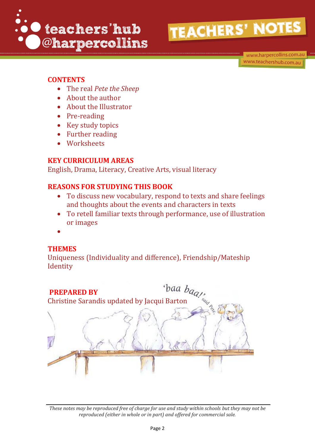

www.harpercollins.com.au www.teachershub.com.au

#### **CONTENTS**

- The real *Pete the Sheep*
- About the author
- About the Illustrator
- Pre-reading
- Key study topics
- Further reading
- Worksheets

#### **KEY CURRICULUM AREAS**

English, Drama, Literacy, Creative Arts, visual literacy

#### **REASONS FOR STUDYING THIS BOOK**

- To discuss new vocabulary, respond to texts and share feelings and thoughts about the events and characters in texts
- To retell familiar texts through performance, use of illustration or images
- $\bullet$

#### **THEMES**

Uniqueness (Individuality and difference), Friendship/Mateship **Identity** 

#### **PREPARED BY**

**PREPARED BY** Dun  $\log_{Q}$ , Christine Sarandis updated by Jacqui Barton

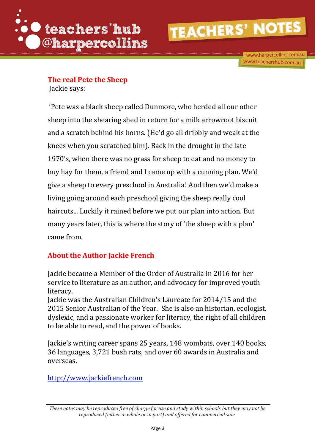

www.harpercollins.com.au www.teachershub.com.au

### **The real Pete the Sheep**

Jackie says:

'Pete was a black sheep called Dunmore, who herded all our other sheep into the shearing shed in return for a milk arrowroot biscuit and a scratch behind his horns. (He'd go all dribbly and weak at the knees when you scratched him). Back in the drought in the late 1970's, when there was no grass for sheep to eat and no money to buy hay for them, a friend and I came up with a cunning plan. We'd give a sheep to every preschool in Australia! And then we'd make a living going around each preschool giving the sheep really cool haircuts... Luckily it rained before we put our plan into action. But many years later, this is where the story of 'the sheep with a plan' came from.

#### **About the Author Jackie French**

Jackie became a Member of the Order of Australia in 2016 for her service to literature as an author, and advocacy for improved youth literacy.

Jackie was the Australian Children's Laureate for 2014/15 and the 2015 Senior Australian of the Year. She is also an historian, ecologist, dyslexic, and a passionate worker for literacy, the right of all children to be able to read, and the power of books.

Jackie's writing career spans 25 years, 148 wombats, over 140 books, 36 languages, 3,721 bush rats, and over 60 awards in Australia and overseas.

[http://www.jackiefrench.com](http://www.jackiefrench.com/)

*These notes may be reproduced free of charge for use and study within schools but they may not be reproduced (either in whole or in part) and offered for commercial sale.*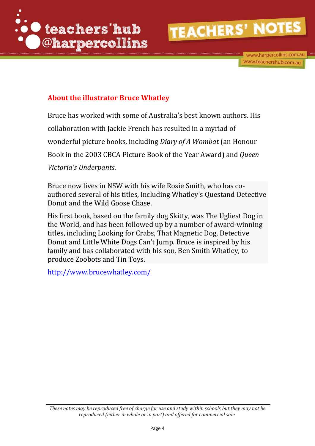

#### **About the illustrator Bruce Whatley**

Bruce has worked with some of Australia's best known authors. His collaboration with Jackie French has resulted in a myriad of wonderful picture books, including *Diary of A Wombat* (an Honour Book in the 2003 CBCA Picture Book of the Year Award) and *Queen Victoria's Underpants*.

Bruce now lives in NSW with his wife Rosie Smith, who has coauthored several of his titles, including Whatley's Questand Detective Donut and the Wild Goose Chase.

His first book, based on the family dog Skitty, was The Ugliest Dog in the World, and has been followed up by a number of award-winning titles, including Looking for Crabs, That Magnetic Dog, Detective Donut and Little White Dogs Can't Jump. Bruce is inspired by his family and has collaborated with his son, Ben Smith Whatley, to produce Zoobots and Tin Toys.

<http://www.brucewhatley.com/>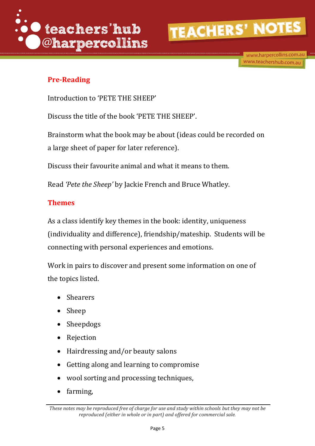

www.harpercollins.com.au www.teachershub.com.au

#### **Pre-Reading**

Introduction to 'PETE THE SHEEP'

Discuss the title of the book 'PETE THE SHEEP'.

Brainstorm what the book may be about (ideas could be recorded on a large sheet of paper for later reference).

Discuss their favourite animal and what it means to them.

Read *'Pete the Sheep'* by Jackie French and Bruce Whatley.

#### **Themes**

As a class identify key themes in the book: identity, uniqueness (individuality and difference), friendship/mateship. Students will be connecting with personal experiences and emotions.

Work in pairs to discover and present some information on one of the topics listed.

- Shearers
- Sheep
- Sheepdogs
- Rejection
- Hairdressing and/or beauty salons
- Getting along and learning to compromise
- wool sorting and processing techniques,
- farming,

*These notes may be reproduced free of charge for use and study within schools but they may not be reproduced (either in whole or in part) and offered for commercial sale.*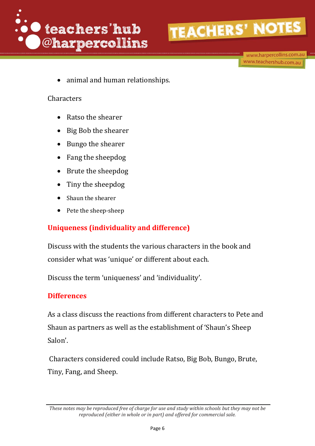

www.harpercollins.com.au www.teachershub.com.au

animal and human relationships.

#### **Characters**

- Ratso the shearer
- Big Bob the shearer
- Bungo the shearer
- Fang the sheepdog
- Brute the sheepdog
- Tiny the sheepdog
- Shaun the shearer
- Pete the sheep-sheep

#### **Uniqueness (individuality and difference)**

Discuss with the students the various characters in the book and consider what was 'unique' or different about each.

Discuss the term 'uniqueness' and 'individuality'.

#### **Differences**

As a class discuss the reactions from different characters to Pete and Shaun as partners as well as the establishment of 'Shaun's Sheep Salon'.

Characters considered could include Ratso, Big Bob, Bungo, Brute, Tiny, Fang, and Sheep.

*These notes may be reproduced free of charge for use and study within schools but they may not be reproduced (either in whole or in part) and offered for commercial sale.*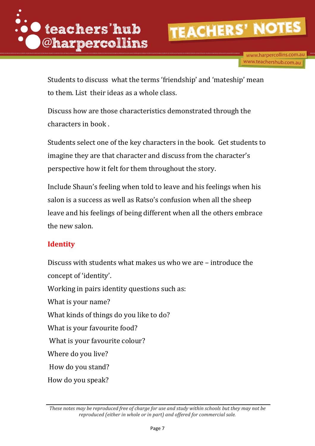

www.harpercollins.com.au www.teachershub.com.au

Students to discuss what the terms 'friendship' and 'mateship' mean to them. List their ideas as a whole class.

Discuss how are those characteristics demonstrated through the characters in book .

Students select one of the key characters in the book. Get students to imagine they are that character and discuss from the character's perspective how it felt for them throughout the story.

Include Shaun's feeling when told to leave and his feelings when his salon is a success as well as Ratso's confusion when all the sheep leave and his feelings of being different when all the others embrace the new salon.

#### **Identity**

Discuss with students what makes us who we are – introduce the concept of 'identity'. Working in pairs identity questions such as: What is your name? What kinds of things do you like to do? What is your favourite food? What is your favourite colour? Where do you live? How do you stand? How do you speak?

*These notes may be reproduced free of charge for use and study within schools but they may not be reproduced (either in whole or in part) and offered for commercial sale.*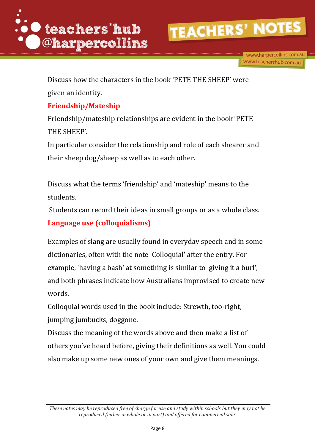

Discuss how the characters in the book 'PETE THE SHEEP' were given an identity.

#### **Friendship/Mateship**

Friendship/mateship relationships are evident in the book 'PETE THE SHEEP'.

In particular consider the relationship and role of each shearer and their sheep dog/sheep as well as to each other.

Discuss what the terms 'friendship' and 'mateship' means to the students.

Students can record their ideas in small groups or as a whole class.

#### **Language use (colloquialisms)**

Examples of slang are usually found in everyday speech and in some dictionaries, often with the note 'Colloquial' after the entry. For example, 'having a bash' at something is similar to 'giving it a burl', and both phrases indicate how Australians improvised to create new words.

Colloquial words used in the book include: Strewth, too-right, jumping jumbucks, doggone.

Discuss the meaning of the words above and then make a list of others you've heard before, giving their definitions as well. You could also make up some new ones of your own and give them meanings.

*These notes may be reproduced free of charge for use and study within schools but they may not be reproduced (either in whole or in part) and offered for commercial sale.*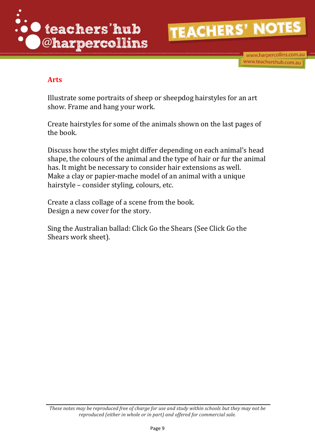



#### **Arts**

Illustrate some portraits of sheep or sheepdog hairstyles for an art show. Frame and hang your work.

Create hairstyles for some of the animals shown on the last pages of the book.

Discuss how the styles might differ depending on each animal's head shape, the colours of the animal and the type of hair or fur the animal has. It might be necessary to consider hair extensions as well. Make a clay or papier-mache model of an animal with a unique hairstyle – consider styling, colours, etc.

Create a class collage of a scene from the book. Design a new cover for the story.

Sing the Australian ballad: Click Go the Shears (See Click Go the Shears work sheet).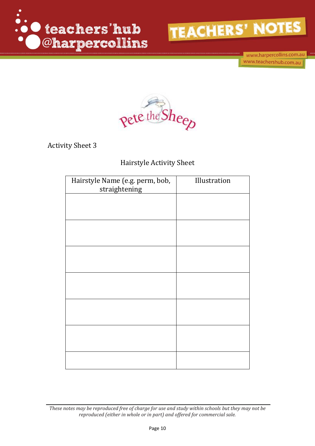

www.harpercollins.com.au www.teachershub.com.au



Activity Sheet 3

#### Hairstyle Activity Sheet

| Hairstyle Name (e.g. perm, bob,<br>straightening | Illustration |
|--------------------------------------------------|--------------|
|                                                  |              |
|                                                  |              |
|                                                  |              |
|                                                  |              |
|                                                  |              |
|                                                  |              |
|                                                  |              |
|                                                  |              |
|                                                  |              |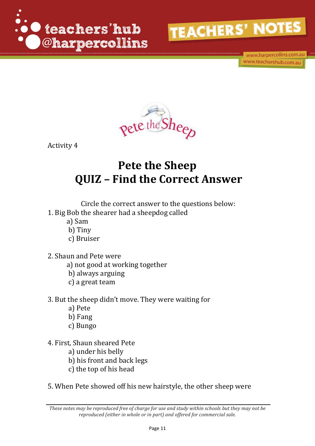

www.harpercollins.com.au www.teachershub.com.au



Activity 4

### **Pete the Sheep QUIZ – Find the Correct Answer**

Circle the correct answer to the questions below: 1. Big Bob the shearer had a sheepdog called

- a) Sam
	- b) Tiny
	-
- c) Bruiser
- 2. Shaun and Pete were
	- a) not good at working together
	- b) always arguing
	- c) a great team
- 3. But the sheep didn't move. They were waiting for
	- a) Pete
	- b) Fang
	- c) Bungo
- 4. First, Shaun sheared Pete
	- a) under his belly
	- b) his front and back legs
	- c) the top of his head
- 5. When Pete showed off his new hairstyle, the other sheep were

*These notes may be reproduced free of charge for use and study within schools but they may not be reproduced (either in whole or in part) and offered for commercial sale.*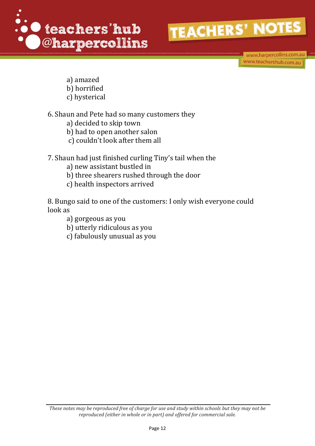

www.harpercollins.com.au www.teachershub.com.au

- a) amazed
- b) horrified
- c) hysterical

6. Shaun and Pete had so many customers they

- a) decided to skip town
- b) had to open another salon
- c) couldn't look after them all
- 7. Shaun had just finished curling Tiny's tail when the
	- a) new assistant bustled in
	- b) three shearers rushed through the door
	- c) health inspectors arrived

8. Bungo said to one of the customers: I only wish everyone could look as

- a) gorgeous as you
- b) utterly ridiculous as you
- c) fabulously unusual as you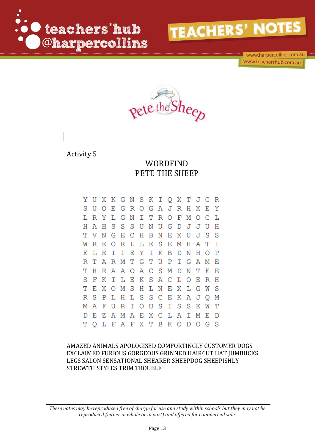

www.harpercollins.com.au www.teachershub.com.au



Activity 5

#### WORDFIND PETE THE SHEEP

Y U X K G N S K I Q X T J C  $\overline{R}$ J R H X UOEGROGA S  $_{\rm E}$ Y LRYLGNITROFMO  $\mathcal{C}$ L H A H S S SUNU G D J J U - H TVNGECHBNEXU S S J **WREORL** L E S E M H A т I L E I  $I$  E Y I E B D N H O F. P R T A R M T T U P G Ι G A M E THRAAOACSM D N T E E S FKILEK S A C L O E R H EXOMSHLNEXLG Ͳ W S S C R S P L H L S ЕКАJ Q М MAFURIOUS S S E Τ W Т D E Z A M A E X C LAIME  $\mathbb D$ OLFAFXTBKODOGS т

AMAZED ANIMALS APOLOGISED COMFORTINGLY CUSTOMER DOGS EXCLAIMED FURIOUS GORGEOUS GRINNED HAIRCUT HAT JUMBUCKS LEGS SALON SENSATIONAL SHEARER SHEEPDOG SHEEPISHLY STREWTH STYLES TRIM TROUBLE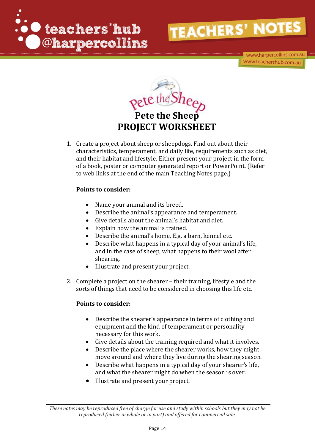





1. Create a project about sheep or sheepdogs. Find out about their characteristics, temperament, and daily life, requirements such as diet, and their habitat and lifestyle. Either present your project in the form of a book, poster or computer generated report or PowerPoint. (Refer to web links at the end of the main Teaching Notes page.)

#### **Points to consider:**

- Name your animal and its breed.
- Describe the animal's appearance and temperament.
- Give details about the animal's habitat and diet.
- Explain how the animal is trained.
- Describe the animal's home. E.g. a barn, kennel etc.
- Describe what happens in a typical day of your animal's life, and in the case of sheep, what happens to their wool after shearing.
- Illustrate and present your project.
- 2. Complete a project on the shearer their training, lifestyle and the sorts of things that need to be considered in choosing this life etc.

#### **Points to consider:**

- Describe the shearer's appearance in terms of clothing and equipment and the kind of temperament or personality necessary for this work.
- Give details about the training required and what it involves.
- Describe the place where the shearer works, how they might move around and where they live during the shearing season.
- Describe what happens in a typical day of your shearer's life, and what the shearer might do when the season is over.
- Illustrate and present your project.

*These notes may be reproduced free of charge for use and study within schools but they may not be reproduced (either in whole or in part) and offered for commercial sale.*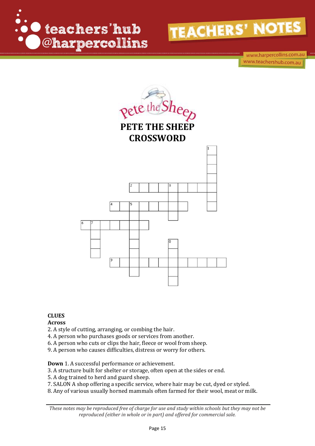





#### **CLUES**

#### **Across**

- 2. A style of cutting, arranging, or combing the hair.
- 4. A person who purchases goods or services from another.
- 6. A person who cuts or clips the hair, fleece or wool from sheep.
- 9. A person who causes difficulties, distress or worry for others.

**Down** 1. A successful performance or achievement.

- 3. A structure built for shelter or storage, often open at the sides or end.
- 5. A dog trained to herd and guard sheep.
- 7. SALON A shop offering a specific service, where hair may be cut, dyed or styled.
- 8. Any of various usually horned mammals often farmed for their wool, meat or milk.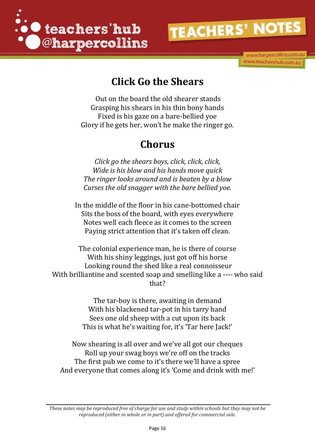



### **Click Go the Shears**

Out on the board the old shearer stands Grasping his shears in his thin bony hands Fixed is his gaze on a bare-bellied yoe Glory if he gets her, won't he make the ringer go.

### **Chorus**

*Click go the shears boys, click, click, click, Wide is his blow and his hands move quick The ringer looks around and is beaten by a blow Curses the old snagger with the bare bellied yoe.* 

In the middle of the floor in his cane-bottomed chair Sits the boss of the board, with eyes everywhere Notes well each fleece as it comes to the screen Paying strict attention that it's taken off clean.

The colonial experience man, he is there of course With his shiny leggings, just got off his horse Looking round the shed like a real connoisseur With brilliantine and scented soap and smelling like a ---- who said that?

> The tar-boy is there, awaiting in demand With his blackened tar-pot in his tarry hand Sees one old sheep with a cut upon its back This is what he's waiting for, it's 'Tar here Jack!'

Now shearing is all over and we've all got our cheques Roll up your swag boys we're off on the tracks The first pub we come to it's there we'll have a spree And everyone that comes along it's 'Come and drink with me!'